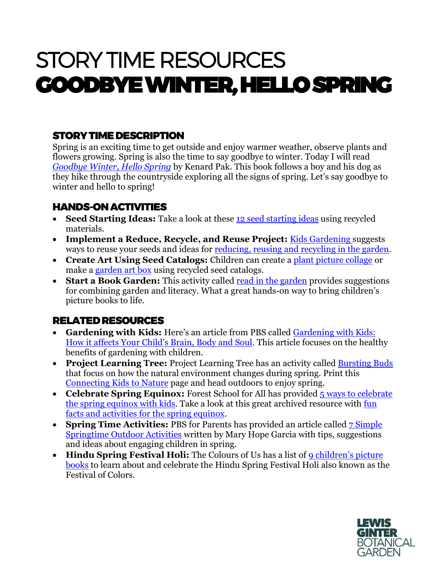# STORY TIME RESOURCES GOODBYE WINTER, HELLO SPRING

### STORY TIME DESCRIPTION

Spring is an exciting time to get outside and enjoy warmer weather, observe plants and flowers growing. Spring is also the time to say goodbye to winter. Today I will read *[Goodbye Winter, Hello Spring](https://books.google.com/books/about/Goodbye_Winter_Hello_Spring.html?id=zuOSwgEACAAJ)* by Kenard Pak. This book follows a boy and his dog as they hike through the countryside exploring all the signs of spring. Let's say goodbye to winter and hello to spring!

#### HANDS-ON ACTIVITIES

- **Seed Starting Ideas:** Take a look at these [12 seed starting ideas](https://lovelygreens.com/seed-starting-with-recycled-materials/) using recycled materials.
- **Implement a Reduce, Recycle, and Reuse Project:** Kids [Gardening s](https://kidsgardening.org/garden-activities-save-your-seeds/)uggests ways to reuse your seeds and ideas for [reducing, reusing and recycling in the garden.](https://kidsgardening.org/garden-activities-reducing-re-using-and-recycling-in-the-garden/)
- **Create Art Using Seed Catalogs:** Children can create a [plant picture collage](https://kidsgardening.org/garden-activities-seed-catalog-fun/?mc_cid=8b3c8276f1&mc_eid=dc6014dea3) or make a [garden art box](https://kidsgardening.org/garden-activities-garden-art-box/?mc_cid=8b3c8276f1&mc_eid=dc6014dea3) using recycled seed catalogs.
- **Start a Book Garden:** This activity called [read in the garden](https://kidsgardening.org/garden-activities-read-in-the-garden/) provides suggestions for combining garden and literacy. What a great hands-on way to bring children's picture books to life.

## RELATED RESOURCES

- **Gardening with Kids:** Here's an article from PBS called [Gardening with Kids:](https://www.pbs.org/parents/thrive/gardening-with-kids-how-it-affects-your-childs-brain-body-and-soul)  [How it affects Your Child's Brain, Body and Soul](https://www.pbs.org/parents/thrive/gardening-with-kids-how-it-affects-your-childs-brain-body-and-soul). This article focuses on the healthy benefits of gardening with children.
- **Project Learning Tree:** Project Learning Tree has an activity called **Bursting Buds** that focus on how the natural environment changes during spring. Print this [Connecting Kids to Nature](https://www.plt.org/wp-content/uploads/pdf/PLT_Act65_Bursting_Buds.pdf) page and head outdoors to enjoy spring.
- **Celebrate Spring Equinox:** Forest School for All has provided 5 ways to celebrate [the spring equinox with kids.](http://forestschoolforall.com/blog/2016/03/18/5-ways-to-celebrate-the-spring-equinox/) Take a look at this great archived resource with [fun](https://www.envisionexperience.com/blog/fun-facts-and-activities-for-the-spring-equinox)  [facts and activities for the spring equinox.](https://www.envisionexperience.com/blog/fun-facts-and-activities-for-the-spring-equinox)
- **Spring Time Activities:** PBS for Parents has provided an article called **7** Simple [Springtime Outdoor Activities](https://www.pbs.org/parents/thrive/7-simple-springtime-outdoor-activities) written by Mary Hope Garcia with tips, suggestions and ideas about engaging children in spring.
- **Hindu Spring Festival Holi:** The Colours of Us has a list of [9 children's picture](https://coloursofus.com/9-childrens-books-about-the-hindu-spring-festival-holi/?utm_source=sendinblue&utm_campaign=Holi&utm_medium=email)  [books](https://coloursofus.com/9-childrens-books-about-the-hindu-spring-festival-holi/?utm_source=sendinblue&utm_campaign=Holi&utm_medium=email) to learn about and celebrate the Hindu Spring Festival Holi also known as the Festival of Colors.